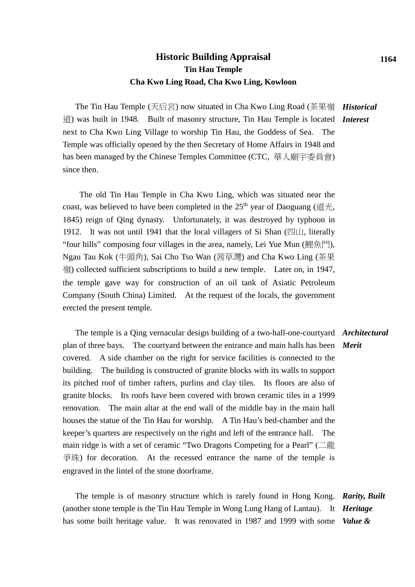## **Historic Building Appraisal Tin Hau Temple Cha Kwo Ling Road, Cha Kwo Ling, Kowloon**

The Tin Hau Temple (天后宮) now situated in Cha Kwo Ling Road (茶果嶺 *Historical* 道) was built in 1948. Built of masonry structure, Tin Hau Temple is located *Interest* next to Cha Kwo Ling Village to worship Tin Hau, the Goddess of Sea. The Temple was officially opened by the then Secretary of Home Affairs in 1948 and has been managed by the Chinese Temples Committee (CTC, 華人廟宇委員會) since then.

The old Tin Hau Temple in Cha Kwo Ling, which was situated near the coast, was believed to have been completed in the  $25<sup>th</sup>$  year of Daoguang (道光, 1845) reign of Qing dynasty. Unfortunately, it was destroyed by typhoon in 1912. It was not until 1941 that the local villagers of Si Shan  $(\mathbb{Z}[\mathcal{L}],$  literally "four hills" composing four villages in the area, namely, Lei Yue Mun (鯉魚門), Ngau Tau Kok (牛頭角), Sai Cho Tso Wan (茜草灣) and Cha Kwo Ling (茶果 嶺) collected sufficient subscriptions to build a new temple. Later on, in 1947, the temple gave way for construction of an oil tank of Asiatic Petroleum Company (South China) Limited. At the request of the locals, the government erected the present temple.

 The temple is a Qing vernacular design building of a two-hall-one-courtyard *Architectural* plan of three bays. The courtyard between the entrance and main halls has been *Merit* covered. A side chamber on the right for service facilities is connected to the building. The building is constructed of granite blocks with its walls to support its pitched roof of timber rafters, purlins and clay tiles. Its floors are also of granite blocks. Its roofs have been covered with brown ceramic tiles in a 1999 renovation. The main altar at the end wall of the middle bay in the main hall houses the statue of the Tin Hau for worship. A Tin Hau's bed-chamber and the keeper's quarters are respectively on the right and left of the entrance hall. The main ridge is with a set of ceramic "Two Dragons Competing for a Pearl" (二龍 爭珠) for decoration. At the recessed entrance the name of the temple is engraved in the lintel of the stone doorframe.

 The temple is of masonry structure which is rarely found in Hong Kong. *Rarity, Built*  (another stone temple is the Tin Hau Temple in Wong Lung Hang of Lantau). It *Heritage*  has some built heritage value. It was renovated in 1987 and 1999 with some *Value &*